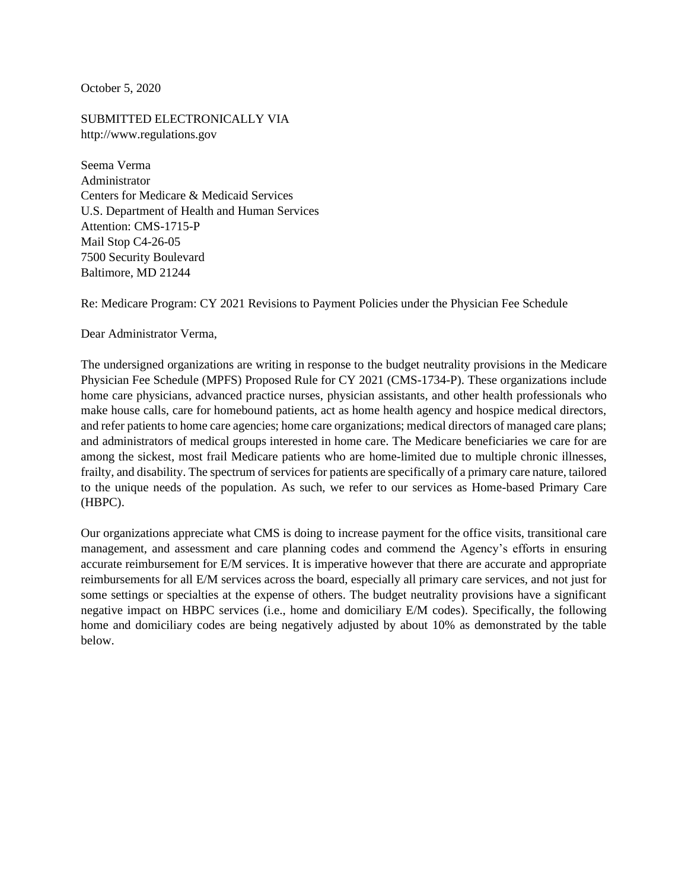October 5, 2020

SUBMITTED ELECTRONICALLY VIA http://www.regulations.gov

Seema Verma Administrator Centers for Medicare & Medicaid Services U.S. Department of Health and Human Services Attention: CMS-1715-P Mail Stop C4-26-05 7500 Security Boulevard Baltimore, MD 21244

Re: Medicare Program: CY 2021 Revisions to Payment Policies under the Physician Fee Schedule

Dear Administrator Verma,

The undersigned organizations are writing in response to the budget neutrality provisions in the Medicare Physician Fee Schedule (MPFS) Proposed Rule for CY 2021 (CMS-1734-P). These organizations include home care physicians, advanced practice nurses, physician assistants, and other health professionals who make house calls, care for homebound patients, act as home health agency and hospice medical directors, and refer patients to home care agencies; home care organizations; medical directors of managed care plans; and administrators of medical groups interested in home care. The Medicare beneficiaries we care for are among the sickest, most frail Medicare patients who are home-limited due to multiple chronic illnesses, frailty, and disability. The spectrum of services for patients are specifically of a primary care nature, tailored to the unique needs of the population. As such, we refer to our services as Home-based Primary Care (HBPC).

Our organizations appreciate what CMS is doing to increase payment for the office visits, transitional care management, and assessment and care planning codes and commend the Agency's efforts in ensuring accurate reimbursement for E/M services. It is imperative however that there are accurate and appropriate reimbursements for all E/M services across the board, especially all primary care services, and not just for some settings or specialties at the expense of others. The budget neutrality provisions have a significant negative impact on HBPC services (i.e., home and domiciliary E/M codes). Specifically, the following home and domiciliary codes are being negatively adjusted by about 10% as demonstrated by the table below.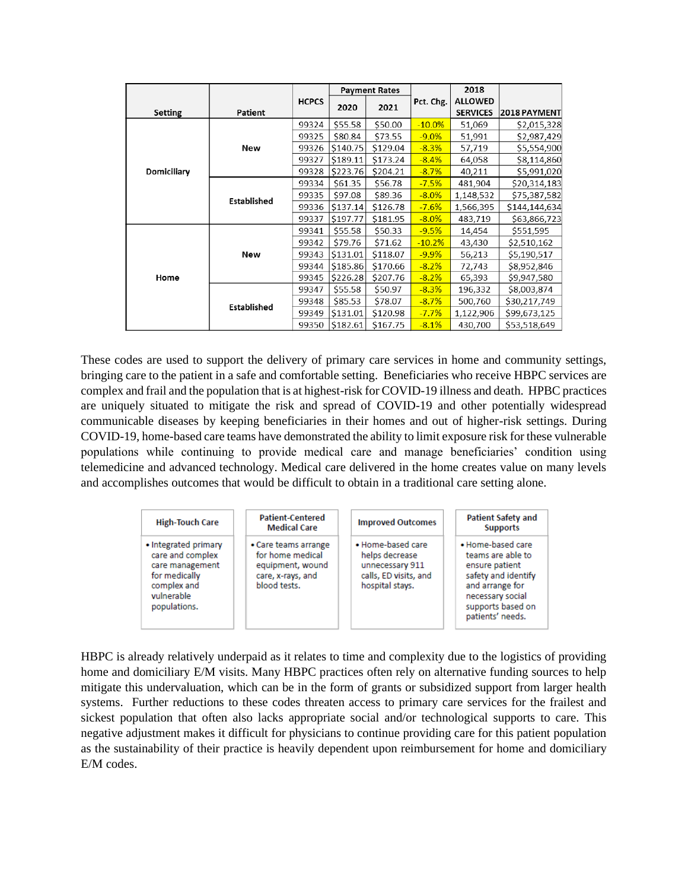|                |                    |              |          | <b>Payment Rates</b> |           | 2018            |               |
|----------------|--------------------|--------------|----------|----------------------|-----------|-----------------|---------------|
|                |                    | <b>HCPCS</b> | 2020     | 2021                 | Pct. Chg. | <b>ALLOWED</b>  |               |
| <b>Setting</b> | Patient            |              |          |                      |           | <b>SERVICES</b> | 2018 PAYMENT  |
|                |                    | 99324        | \$55.58  | \$50.00              | $-10.0%$  | 51,069          | \$2,015,328   |
|                |                    | 99325        | \$80.84  | \$73.55              | $-9.0\%$  | 51,991          | \$2,987,429   |
|                | New                | 99326        | \$140.75 | \$129.04             | $-8.3%$   | 57,719          | \$5,554,900   |
|                |                    | 99327        | \$189.11 | \$173.24             | $-8.4%$   | 64,058          | \$8,114,860   |
| Domiciliary    |                    | 99328        | \$223.76 | \$204.21             | $-8.7%$   | 40,211          | \$5,991,020   |
|                |                    | 99334        | \$61.35  | \$56.78              | $-7.5%$   | 481,904         | \$20,314,183  |
|                | <b>Established</b> | 99335        | \$97.08  | \$89.36              | $-8.0%$   | 1,148,532       | \$75,387,582  |
|                |                    | 99336        | \$137.14 | \$126.78             | $-7.6%$   | 1,566,395       | \$144,144,634 |
|                |                    | 99337        | \$197.77 | \$181.95             | $-8.0\%$  | 483,719         | \$63,866,723  |
|                |                    | 99341        | \$55.58  | \$50.33              | $-9.5%$   | 14,454          | \$551,595     |
|                |                    | 99342        | \$79.76  | \$71.62              | $-10.2%$  | 43,430          | \$2,510,162   |
|                | New                | 99343        | \$131.01 | \$118.07             | $-9.9%$   | 56,213          | \$5,190,517   |
| Home           |                    | 99344        | \$185.86 | \$170.66             | $-8.2%$   | 72,743          | \$8,952,846   |
|                |                    | 99345        | \$226.28 | \$207.76             | $-8.2%$   | 65,393          | \$9,947,580   |
|                |                    | 99347        | \$55.58  | \$50.97              | $-8.3%$   | 196,332         | \$8,003,874   |
|                | <b>Established</b> | 99348        | \$85.53  | \$78.07              | $-8.7%$   | 500,760         | \$30,217,749  |
|                |                    | 99349        | \$131.01 | \$120.98             | $-7.7%$   | 1,122,906       | \$99,673,125  |
|                |                    | 99350        | \$182.61 | \$167.75             | $-8.1%$   | 430,700         | \$53,518,649  |

These codes are used to support the delivery of primary care services in home and community settings, bringing care to the patient in a safe and comfortable setting. Beneficiaries who receive HBPC services are complex and frail and the population that is at highest-risk for COVID-19 illness and death. HPBC practices are uniquely situated to mitigate the risk and spread of COVID-19 and other potentially widespread communicable diseases by keeping beneficiaries in their homes and out of higher-risk settings. During COVID-19, home-based care teams have demonstrated the ability to limit exposure risk for these vulnerable populations while continuing to provide medical care and manage beneficiaries' condition using telemedicine and advanced technology. Medical care delivered in the home creates value on many levels and accomplishes outcomes that would be difficult to obtain in a traditional care setting alone.

| <b>High-Touch Care</b>                                                                                                    | <b>Patient-Centered</b><br><b>Medical Care</b>                                                    | <b>Improved Outcomes</b>                                                                           | <b>Patient Safety and</b><br><b>Supports</b>                                                                                                                    |  |
|---------------------------------------------------------------------------------------------------------------------------|---------------------------------------------------------------------------------------------------|----------------------------------------------------------------------------------------------------|-----------------------------------------------------------------------------------------------------------------------------------------------------------------|--|
| • Integrated primary<br>care and complex<br>care management<br>for medically<br>complex and<br>vulnerable<br>populations. | • Care teams arrange<br>for home medical<br>equipment, wound<br>care, x-rays, and<br>blood tests. | . Home-based care<br>helps decrease<br>unnecessary 911<br>calls, ED visits, and<br>hospital stays. | · Home-based care<br>teams are able to<br>ensure patient<br>safety and identify<br>and arrange for<br>necessary social<br>supports based on<br>patients' needs. |  |

HBPC is already relatively underpaid as it relates to time and complexity due to the logistics of providing home and domiciliary E/M visits. Many HBPC practices often rely on alternative funding sources to help mitigate this undervaluation, which can be in the form of grants or subsidized support from larger health systems. Further reductions to these codes threaten access to primary care services for the frailest and sickest population that often also lacks appropriate social and/or technological supports to care. This negative adjustment makes it difficult for physicians to continue providing care for this patient population as the sustainability of their practice is heavily dependent upon reimbursement for home and domiciliary E/M codes.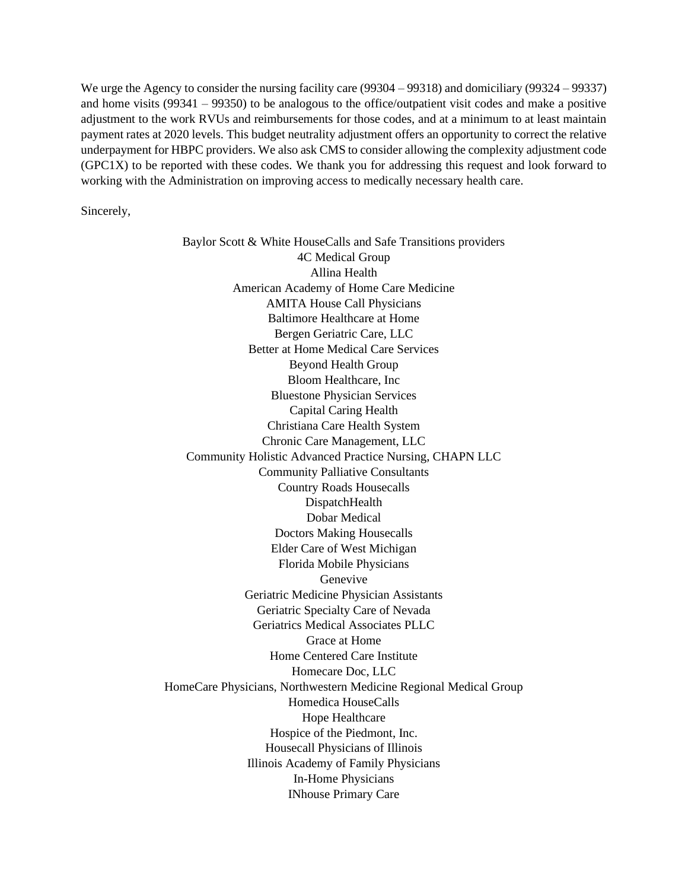We urge the Agency to consider the nursing facility care (99304 – 99318) and domiciliary (99324 – 99337) and home visits (99341 – 99350) to be analogous to the office/outpatient visit codes and make a positive adjustment to the work RVUs and reimbursements for those codes, and at a minimum to at least maintain payment rates at 2020 levels. This budget neutrality adjustment offers an opportunity to correct the relative underpayment for HBPC providers. We also ask CMS to consider allowing the complexity adjustment code (GPC1X) to be reported with these codes. We thank you for addressing this request and look forward to working with the Administration on improving access to medically necessary health care.

Sincerely,

Baylor Scott & White HouseCalls and Safe Transitions providers 4C Medical Group Allina Health American Academy of Home Care Medicine AMITA House Call Physicians Baltimore Healthcare at Home Bergen Geriatric Care, LLC Better at Home Medical Care Services Beyond Health Group Bloom Healthcare, Inc Bluestone Physician Services Capital Caring Health Christiana Care Health System Chronic Care Management, LLC Community Holistic Advanced Practice Nursing, CHAPN LLC Community Palliative Consultants Country Roads Housecalls DispatchHealth Dobar Medical Doctors Making Housecalls Elder Care of West Michigan Florida Mobile Physicians Genevive Geriatric Medicine Physician Assistants Geriatric Specialty Care of Nevada Geriatrics Medical Associates PLLC Grace at Home Home Centered Care Institute Homecare Doc, LLC HomeCare Physicians, Northwestern Medicine Regional Medical Group Homedica HouseCalls Hope Healthcare Hospice of the Piedmont, Inc. Housecall Physicians of Illinois Illinois Academy of Family Physicians In-Home Physicians INhouse Primary Care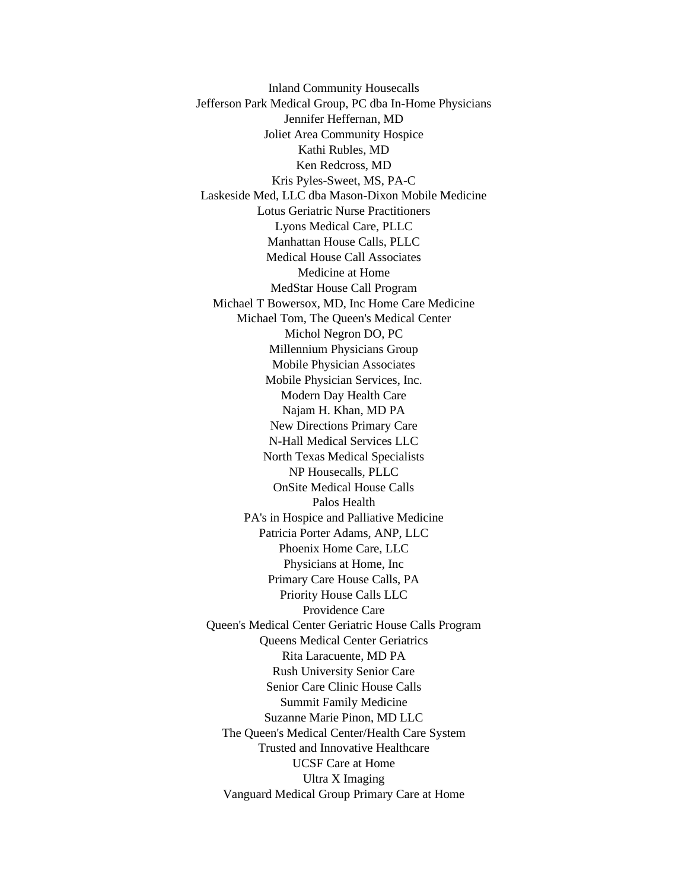Inland Community Housecalls Jefferson Park Medical Group, PC dba In-Home Physicians Jennifer Heffernan, MD Joliet Area Community Hospice Kathi Rubles, MD Ken Redcross, MD Kris Pyles-Sweet, MS, PA-C Laskeside Med, LLC dba Mason-Dixon Mobile Medicine Lotus Geriatric Nurse Practitioners Lyons Medical Care, PLLC Manhattan House Calls, PLLC Medical House Call Associates Medicine at Home MedStar House Call Program Michael T Bowersox, MD, Inc Home Care Medicine Michael Tom, The Queen's Medical Center Michol Negron DO, PC Millennium Physicians Group Mobile Physician Associates Mobile Physician Services, Inc. Modern Day Health Care Najam H. Khan, MD PA New Directions Primary Care N-Hall Medical Services LLC North Texas Medical Specialists NP Housecalls, PLLC OnSite Medical House Calls Palos Health PA's in Hospice and Palliative Medicine Patricia Porter Adams, ANP, LLC Phoenix Home Care, LLC Physicians at Home, Inc Primary Care House Calls, PA Priority House Calls LLC Providence Care Queen's Medical Center Geriatric House Calls Program Queens Medical Center Geriatrics Rita Laracuente, MD PA Rush University Senior Care Senior Care Clinic House Calls Summit Family Medicine Suzanne Marie Pinon, MD LLC The Queen's Medical Center/Health Care System Trusted and Innovative Healthcare UCSF Care at Home Ultra X Imaging Vanguard Medical Group Primary Care at Home